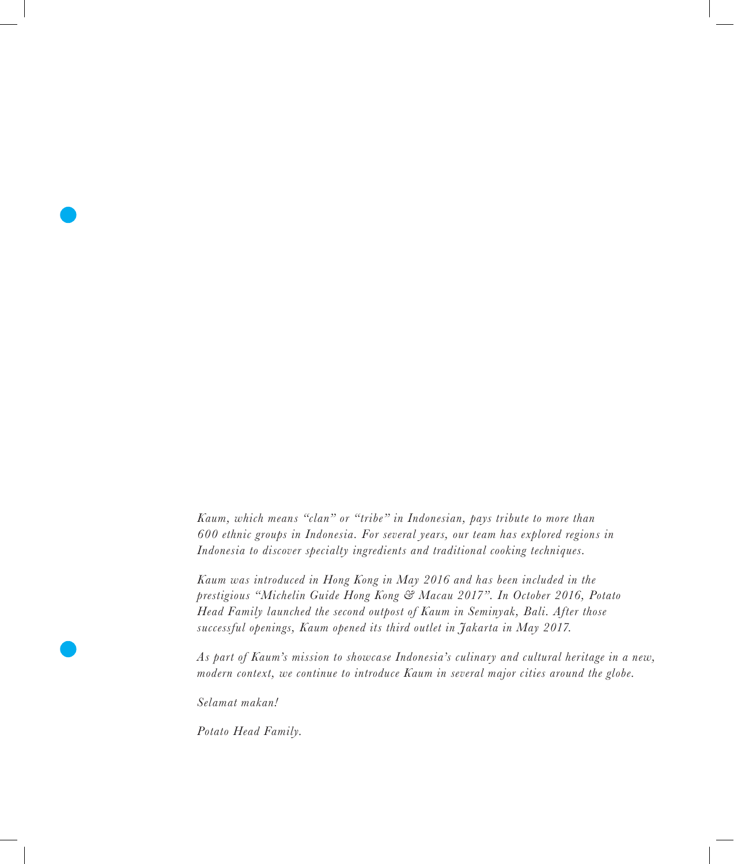*Kaum, which means "clan" or "tribe" in Indonesian, pays tribute to more than 600 ethnic groups in Indonesia. For several years, our team has explored regions in Indonesia to discover specialty ingredients and traditional cooking techniques.* 

*Kaum was introduced in Hong Kong in May 2016 and has been included in the prestigious "Michelin Guide Hong Kong & Macau 2017". In October 2016, Potato Head Family launched the second outpost of Kaum in Seminyak, Bali. After those successful openings, Kaum opened its third outlet in Jakarta in May 2017.*

*As part of Kaum's mission to showcase Indonesia's culinary and cultural heritage in a new, modern context, we continue to introduce Kaum in several major cities around the globe.*

*Selamat makan!*

*Potato Head Family.*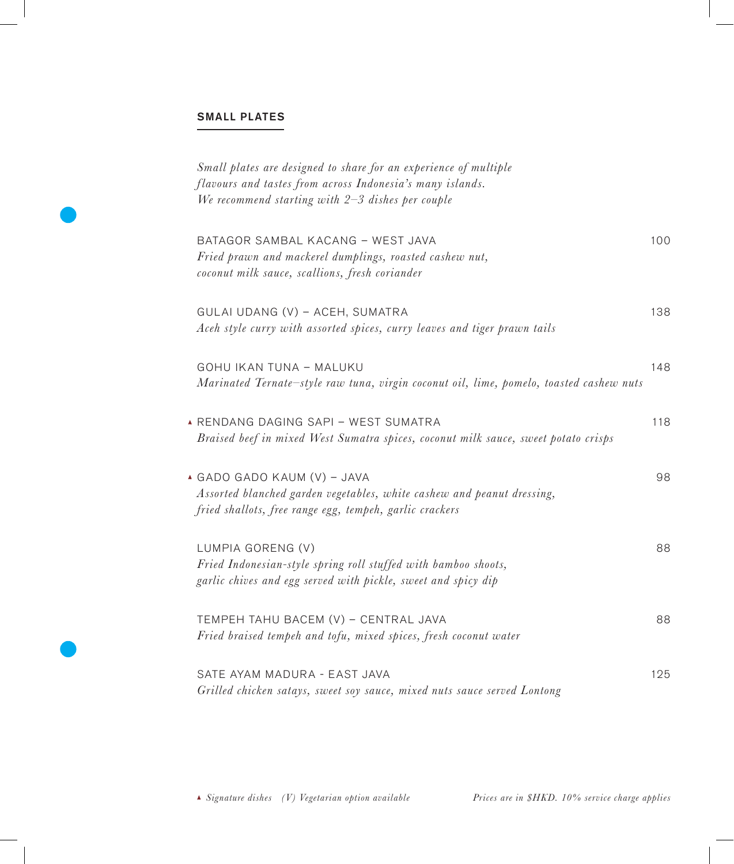# SMALL PLATES

| Small plates are designed to share for an experience of multiple<br>flavours and tastes from across Indonesia's many islands.<br>We recommend starting with $2-3$ dishes per couple |     |
|-------------------------------------------------------------------------------------------------------------------------------------------------------------------------------------|-----|
| BATAGOR SAMBAL KACANG - WEST JAVA<br>Fried prawn and mackerel dumplings, roasted cashew nut,<br>coconut milk sauce, scallions, fresh coriander                                      | 100 |
| GULAI UDANG (V) - ACEH, SUMATRA<br>Aceh style curry with assorted spices, curry leaves and tiger prawn tails                                                                        | 138 |
| GOHU IKAN TUNA - MALUKU<br>Marinated Ternate-style raw tuna, virgin coconut oil, lime, pomelo, toasted cashew nuts                                                                  | 148 |
| A RENDANG DAGING SAPI - WEST SUMATRA<br>Braised beef in mixed West Sumatra spices, coconut milk sauce, sweet potato crisps                                                          | 118 |
| <b>4 GADO GADO KAUM (V) - JAVA</b><br>Assorted blanched garden vegetables, white cashew and peanut dressing,<br>fried shallots, free range egg, tempeh, garlic crackers             | 98  |
| LUMPIA GORENG (V)<br>Fried Indonesian-style spring roll stuffed with bamboo shoots,<br>garlic chives and egg served with pickle, sweet and spicy dip                                | 88  |
| TEMPEH TAHU BACEM (V) - CENTRAL JAVA<br>Fried braised tempeh and tofu, mixed spices, fresh coconut water                                                                            | 88  |
| SATE AYAM MADURA - EAST JAVA<br>Grilled chicken satays, sweet soy sauce, mixed nuts sauce served Lontong                                                                            | 125 |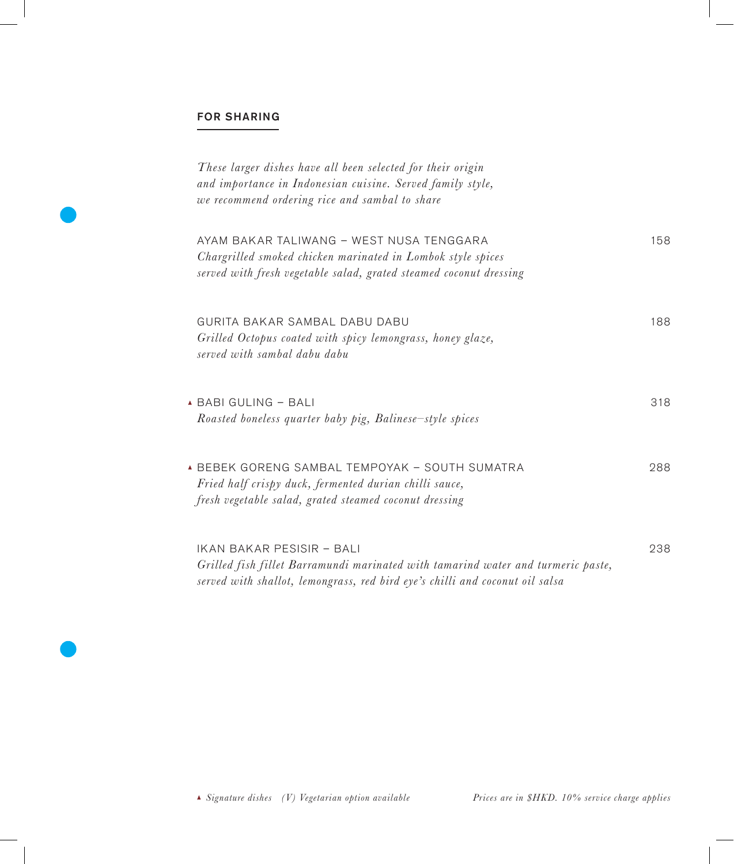### FOR SHARING

| These larger dishes have all been selected for their origin<br>and importance in Indonesian cuisine. Served family style,<br>we recommend ordering rice and sambal to share                   |     |
|-----------------------------------------------------------------------------------------------------------------------------------------------------------------------------------------------|-----|
| AYAM BAKAR TALIWANG - WEST NUSA TENGGARA<br>Chargrilled smoked chicken marinated in Lombok style spices<br>served with fresh vegetable salad, grated steamed coconut dressing                 | 158 |
| GURITA BAKAR SAMBAL DABU DABU<br>Grilled Octopus coated with spicy lemongrass, honey glaze,<br>served with sambal dabu dabu                                                                   | 188 |
| ▲ BABI GULING - BALI<br>Roasted boneless quarter baby pig, Balinese-style spices                                                                                                              | 318 |
| <b>A BEBEK GORENG SAMBAL TEMPOYAK - SOUTH SUMATRA</b><br>Fried half crispy duck, fermented durian chilli sauce,<br>fresh vegetable salad, grated steamed coconut dressing                     | 288 |
| IKAN BAKAR PESISIR - BALI<br>Grilled fish fillet Barramundi marinated with tamarind water and turmeric paste,<br>served with shallot, lemongrass, red bird eye's chilli and coconut oil salsa | 238 |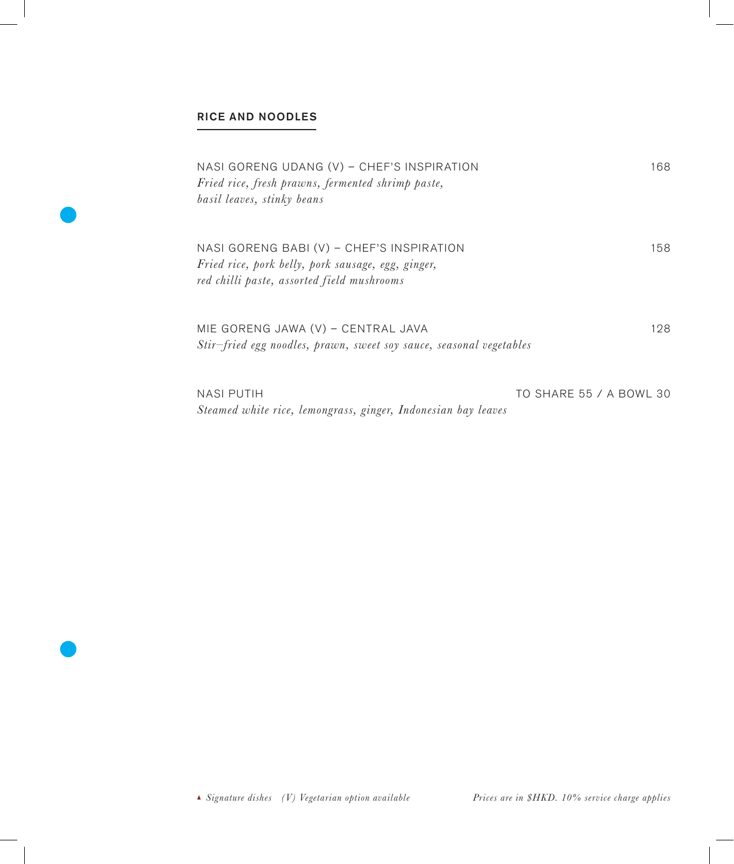## RICE AND NOODLES

| NASI GORENG UDANG (V) - CHEF'S INSPIRATION<br>Fried rice, fresh prawns, fermented shrimp paste,<br>basil leaves, stinky beans                 | 168                     |
|-----------------------------------------------------------------------------------------------------------------------------------------------|-------------------------|
| NASI GORENG BABI (V) - CHEF'S INSPIRATION<br>Fried rice, pork belly, pork sausage, egg, ginger,<br>red chilli paste, assorted field mushrooms | 158                     |
| MIE GORENG JAWA (V) - CENTRAL JAVA<br>Stir-fried egg noodles, prawn, sweet soy sauce, seasonal vegetables                                     | 128                     |
| <b>NASI PUTIH</b><br>Steamed white rice, lemongrass, ginger, Indonesian bay leaves                                                            | TO SHARE 55 / A BOWL 30 |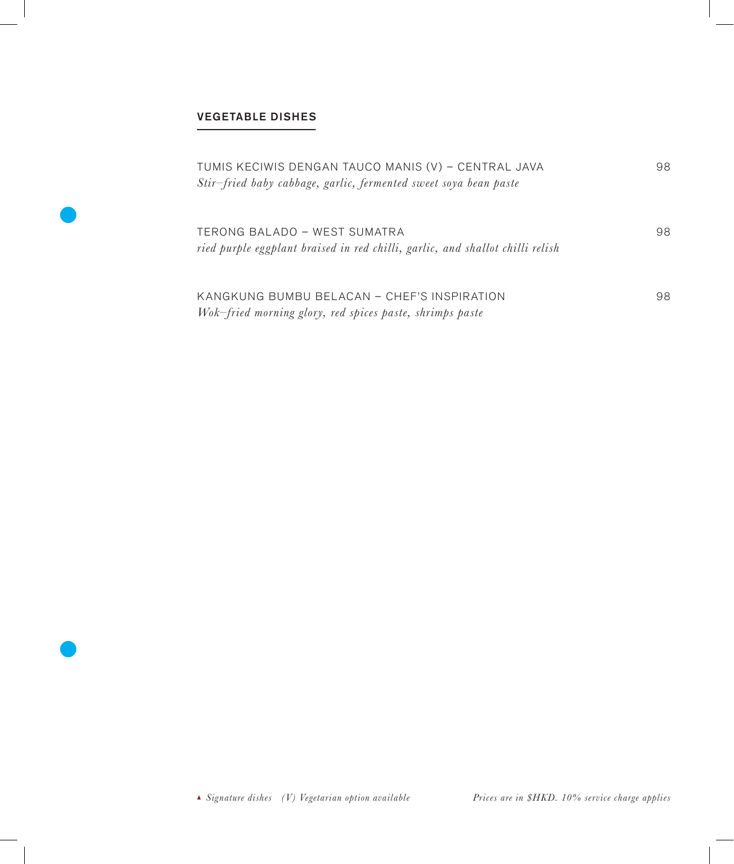## VEGETABLE DISHES

| TUMIS KECIWIS DENGAN TAUCO MANIS (V) – CENTRAL JAVA<br>Stir-fried baby cabbage, garlic, fermented sweet soya bean paste | 98. |
|-------------------------------------------------------------------------------------------------------------------------|-----|
| TERONG BALADO – WEST SUMATRA<br>ried purple eggplant braised in red chilli, garlic, and shallot chilli relish           | 98  |
| KANGKUNG BUMBU BELACAN - CHEF'S INSPIRATION<br>Wok-fried morning glory, red spices paste, shrimps paste                 | 98. |